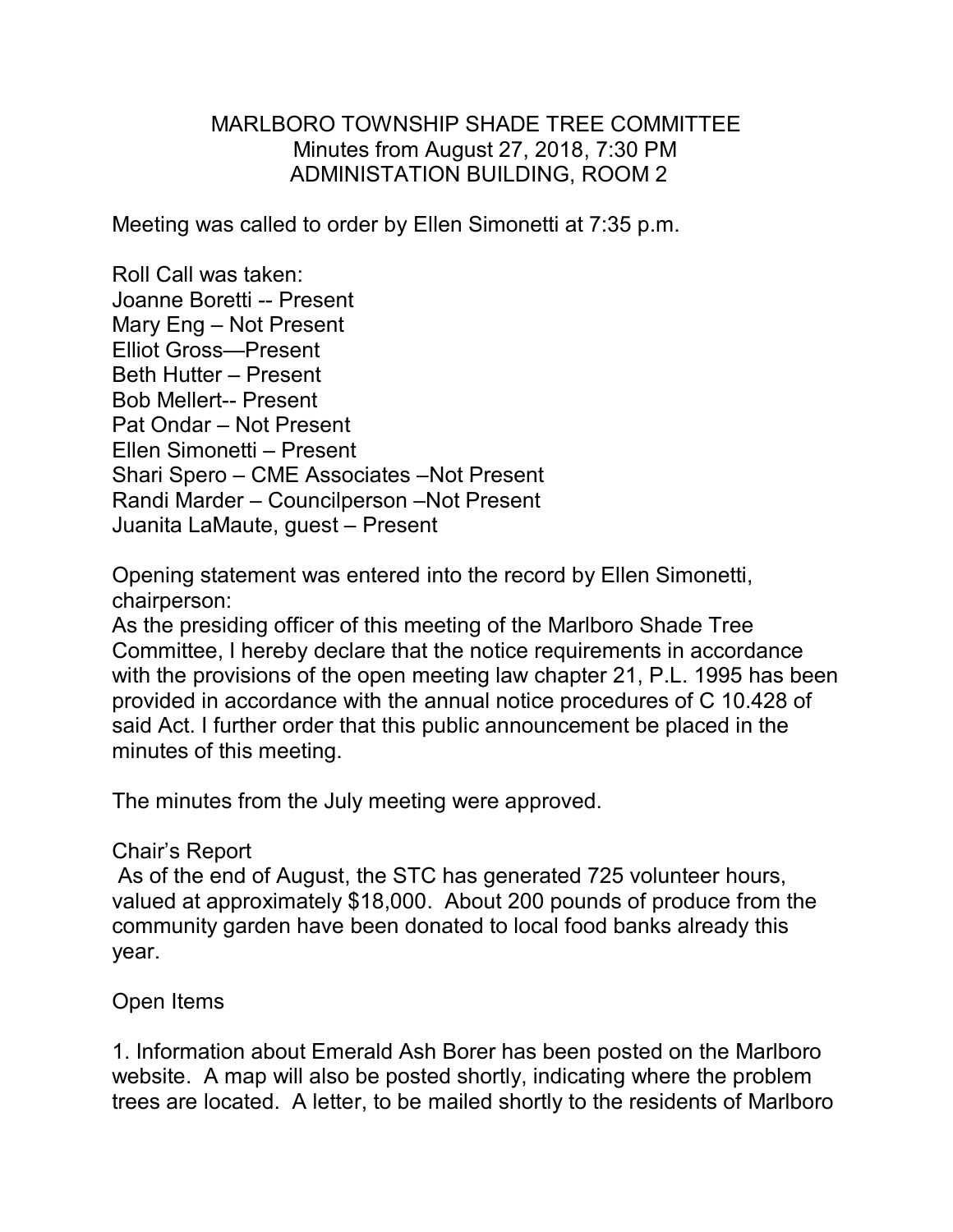## MARLBORO TOWNSHIP SHADE TREE COMMITTEE Minutes from August 27, 2018, 7:30 PM ADMINISTATION BUILDING, ROOM 2

Meeting was called to order by Ellen Simonetti at 7:35 p.m.

Roll Call was taken: Joanne Boretti -- Present Mary Eng – Not Present Elliot Gross—Present Beth Hutter – Present Bob Mellert-- Present Pat Ondar – Not Present Ellen Simonetti – Present Shari Spero – CME Associates –Not Present Randi Marder – Councilperson –Not Present Juanita LaMaute, guest – Present

Opening statement was entered into the record by Ellen Simonetti, chairperson:

As the presiding officer of this meeting of the Marlboro Shade Tree Committee, I hereby declare that the notice requirements in accordance with the provisions of the open meeting law chapter 21, P.L. 1995 has been provided in accordance with the annual notice procedures of C 10.428 of said Act. I further order that this public announcement be placed in the minutes of this meeting.

The minutes from the July meeting were approved.

## Chair's Report

As of the end of August, the STC has generated 725 volunteer hours, valued at approximately \$18,000. About 200 pounds of produce from the community garden have been donated to local food banks already this year.

## Open Items

1. Information about Emerald Ash Borer has been posted on the Marlboro website. A map will also be posted shortly, indicating where the problem trees are located. A letter, to be mailed shortly to the residents of Marlboro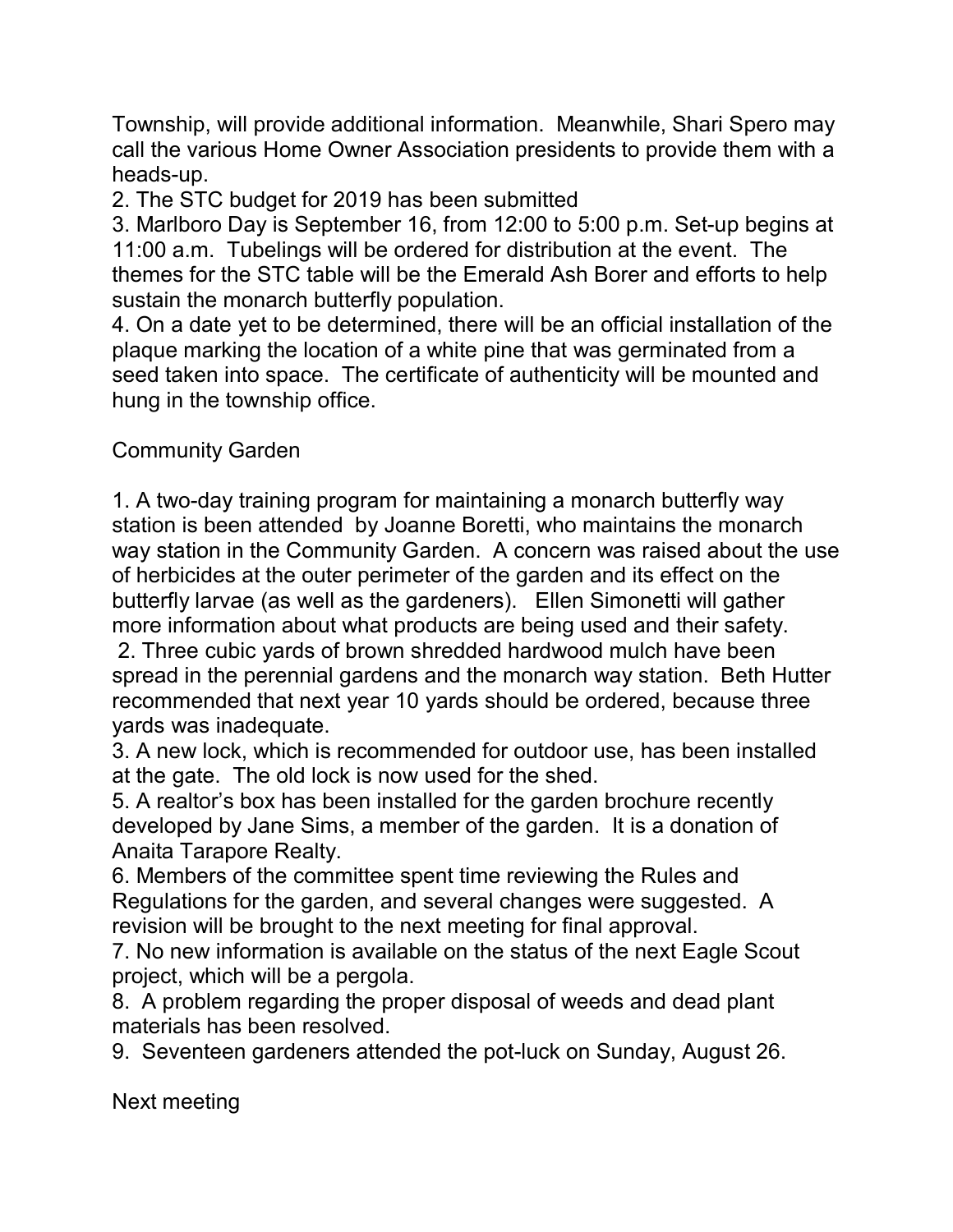Township, will provide additional information. Meanwhile, Shari Spero may call the various Home Owner Association presidents to provide them with a heads-up.

2. The STC budget for 2019 has been submitted

3. Marlboro Day is September 16, from 12:00 to 5:00 p.m. Set-up begins at 11:00 a.m. Tubelings will be ordered for distribution at the event. The themes for the STC table will be the Emerald Ash Borer and efforts to help sustain the monarch butterfly population.

4. On a date yet to be determined, there will be an official installation of the plaque marking the location of a white pine that was germinated from a seed taken into space. The certificate of authenticity will be mounted and hung in the township office.

Community Garden

1. A two-day training program for maintaining a monarch butterfly way station is been attended by Joanne Boretti, who maintains the monarch way station in the Community Garden. A concern was raised about the use of herbicides at the outer perimeter of the garden and its effect on the butterfly larvae (as well as the gardeners). Ellen Simonetti will gather more information about what products are being used and their safety.

2. Three cubic yards of brown shredded hardwood mulch have been spread in the perennial gardens and the monarch way station. Beth Hutter recommended that next year 10 yards should be ordered, because three yards was inadequate.

3. A new lock, which is recommended for outdoor use, has been installed at the gate. The old lock is now used for the shed.

5. A realtor's box has been installed for the garden brochure recently developed by Jane Sims, a member of the garden. It is a donation of Anaita Tarapore Realty.

6. Members of the committee spent time reviewing the Rules and Regulations for the garden, and several changes were suggested. A revision will be brought to the next meeting for final approval.

7. No new information is available on the status of the next Eagle Scout project, which will be a pergola.

8. A problem regarding the proper disposal of weeds and dead plant materials has been resolved.

9. Seventeen gardeners attended the pot-luck on Sunday, August 26.

Next meeting